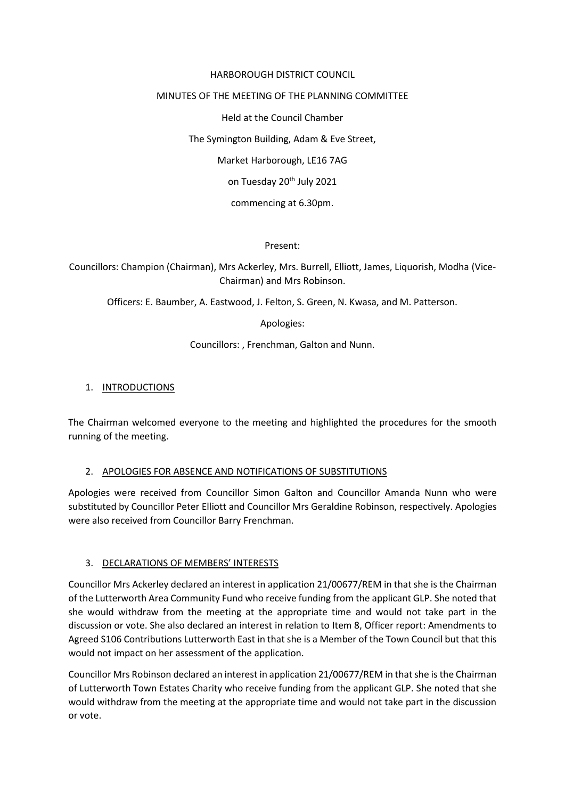## HARBOROUGH DISTRICT COUNCIL

## MINUTES OF THE MEETING OF THE PLANNING COMMITTEE

Held at the Council Chamber

The Symington Building, Adam & Eve Street,

Market Harborough, LE16 7AG

on Tuesday 20<sup>th</sup> July 2021

commencing at 6.30pm.

Present:

Councillors: Champion (Chairman), Mrs Ackerley, Mrs. Burrell, Elliott, James, Liquorish, Modha (Vice-Chairman) and Mrs Robinson.

Officers: E. Baumber, A. Eastwood, J. Felton, S. Green, N. Kwasa, and M. Patterson.

Apologies:

Councillors: , Frenchman, Galton and Nunn.

# 1. INTRODUCTIONS

The Chairman welcomed everyone to the meeting and highlighted the procedures for the smooth running of the meeting.

## 2. APOLOGIES FOR ABSENCE AND NOTIFICATIONS OF SUBSTITUTIONS

Apologies were received from Councillor Simon Galton and Councillor Amanda Nunn who were substituted by Councillor Peter Elliott and Councillor Mrs Geraldine Robinson, respectively. Apologies were also received from Councillor Barry Frenchman.

## 3. DECLARATIONS OF MEMBERS' INTERESTS

Councillor Mrs Ackerley declared an interest in application 21/00677/REM in that she is the Chairman of the Lutterworth Area Community Fund who receive funding from the applicant GLP. She noted that she would withdraw from the meeting at the appropriate time and would not take part in the discussion or vote. She also declared an interest in relation to Item 8, Officer report: Amendments to Agreed S106 Contributions Lutterworth East in that she is a Member of the Town Council but that this would not impact on her assessment of the application.

Councillor Mrs Robinson declared an interest in application 21/00677/REM in that she isthe Chairman of Lutterworth Town Estates Charity who receive funding from the applicant GLP. She noted that she would withdraw from the meeting at the appropriate time and would not take part in the discussion or vote.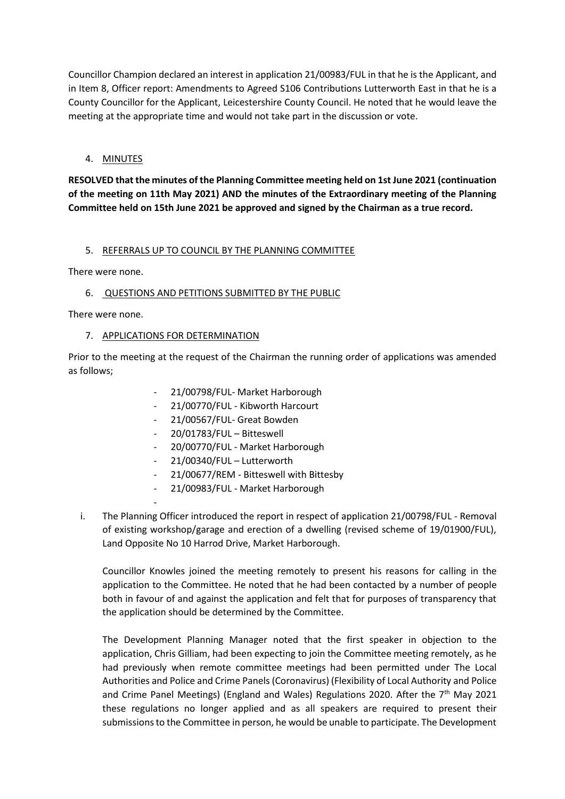Councillor Champion declared an interest in application 21/00983/FUL in that he is the Applicant, and in Item 8, Officer report: Amendments to Agreed S106 Contributions Lutterworth East in that he is a County Councillor for the Applicant, Leicestershire County Council. He noted that he would leave the meeting at the appropriate time and would not take part in the discussion or vote.

# 4. MINUTES

**RESOLVED that the minutes of the Planning Committee meeting held on 1st June 2021 (continuation of the meeting on 11th May 2021) AND the minutes of the Extraordinary meeting of the Planning Committee held on 15th June 2021 be approved and signed by the Chairman as a true record.**

## 5. REFERRALS UP TO COUNCIL BY THE PLANNING COMMITTEE

There were none.

6. QUESTIONS AND PETITIONS SUBMITTED BY THE PUBLIC

There were none.

#### 7. APPLICATIONS FOR DETERMINATION

-

Prior to the meeting at the request of the Chairman the running order of applications was amended as follows;

- 21/00798/FUL- Market Harborough
- 21/00770/FUL Kibworth Harcourt
- 21/00567/FUL- Great Bowden
- 20/01783/FUL Bitteswell
- 20/00770/FUL Market Harborough
- 21/00340/FUL Lutterworth
- 21/00677/REM Bitteswell with Bittesby
- 21/00983/FUL Market Harborough
- i. The Planning Officer introduced the report in respect of application 21/00798/FUL Removal of existing workshop/garage and erection of a dwelling (revised scheme of 19/01900/FUL), Land Opposite No 10 Harrod Drive, Market Harborough.

Councillor Knowles joined the meeting remotely to present his reasons for calling in the application to the Committee. He noted that he had been contacted by a number of people both in favour of and against the application and felt that for purposes of transparency that the application should be determined by the Committee.

The Development Planning Manager noted that the first speaker in objection to the application, Chris Gilliam, had been expecting to join the Committee meeting remotely, as he had previously when remote committee meetings had been permitted under The Local Authorities and Police and Crime Panels (Coronavirus) (Flexibility of Local Authority and Police and Crime Panel Meetings) (England and Wales) Regulations 2020. After the  $7<sup>th</sup>$  May 2021 these regulations no longer applied and as all speakers are required to present their submissions to the Committee in person, he would be unable to participate. The Development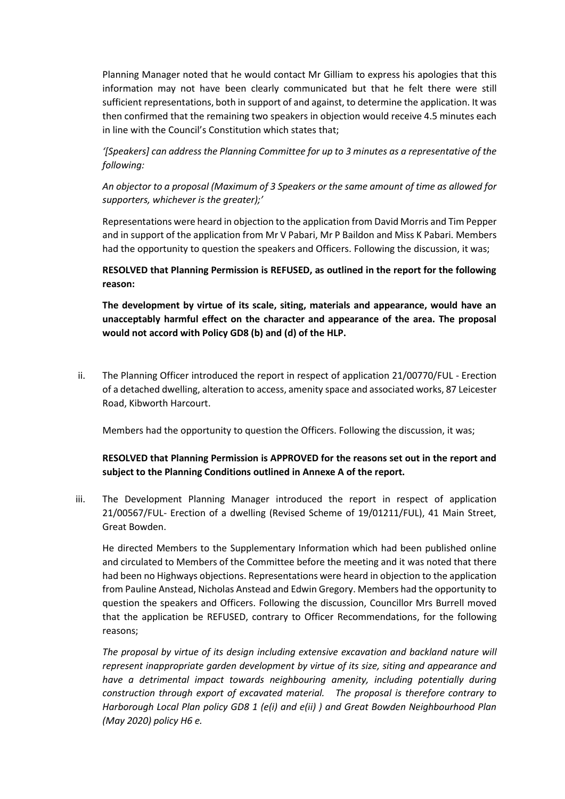Planning Manager noted that he would contact Mr Gilliam to express his apologies that this information may not have been clearly communicated but that he felt there were still sufficient representations, both in support of and against, to determine the application. It was then confirmed that the remaining two speakers in objection would receive 4.5 minutes each in line with the Council's Constitution which states that;

*'[Speakers] can address the Planning Committee for up to 3 minutes as a representative of the following:* 

*An objector to a proposal (Maximum of 3 Speakers or the same amount of time as allowed for supporters, whichever is the greater);'*

Representations were heard in objection to the application from David Morris and Tim Pepper and in support of the application from Mr V Pabari, Mr P Baildon and Miss K Pabari. Members had the opportunity to question the speakers and Officers. Following the discussion, it was;

**RESOLVED that Planning Permission is REFUSED, as outlined in the report for the following reason:** 

**The development by virtue of its scale, siting, materials and appearance, would have an unacceptably harmful effect on the character and appearance of the area. The proposal would not accord with Policy GD8 (b) and (d) of the HLP.**

ii. The Planning Officer introduced the report in respect of application 21/00770/FUL - Erection of a detached dwelling, alteration to access, amenity space and associated works, 87 Leicester Road, Kibworth Harcourt.

Members had the opportunity to question the Officers. Following the discussion, it was;

# **RESOLVED that Planning Permission is APPROVED for the reasons set out in the report and subject to the Planning Conditions outlined in Annexe A of the report.**

iii. The Development Planning Manager introduced the report in respect of application 21/00567/FUL- Erection of a dwelling (Revised Scheme of 19/01211/FUL), 41 Main Street, Great Bowden.

He directed Members to the Supplementary Information which had been published online and circulated to Members of the Committee before the meeting and it was noted that there had been no Highways objections. Representations were heard in objection to the application from Pauline Anstead, Nicholas Anstead and Edwin Gregory. Members had the opportunity to question the speakers and Officers. Following the discussion, Councillor Mrs Burrell moved that the application be REFUSED, contrary to Officer Recommendations, for the following reasons;

*The proposal by virtue of its design including extensive excavation and backland nature will represent inappropriate garden development by virtue of its size, siting and appearance and have a detrimental impact towards neighbouring amenity, including potentially during construction through export of excavated material. The proposal is therefore contrary to Harborough Local Plan policy GD8 1 (e(i) and e(ii) ) and Great Bowden Neighbourhood Plan (May 2020) policy H6 e.*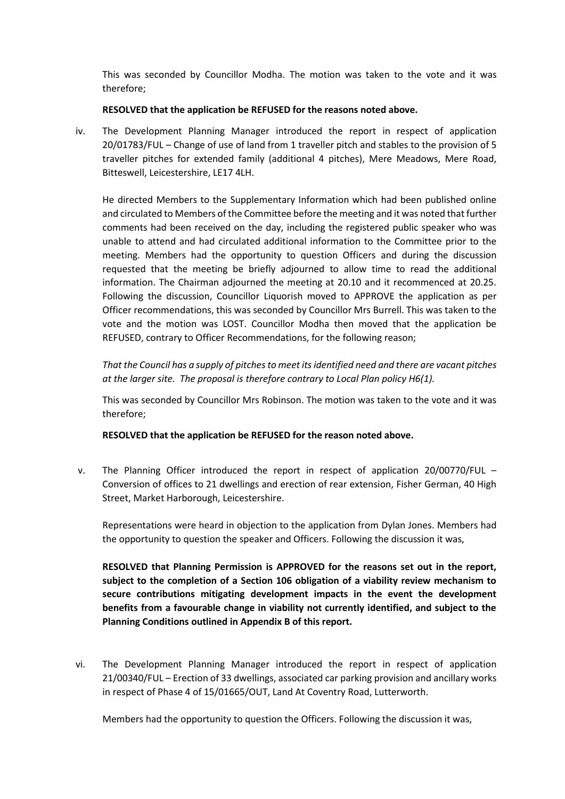This was seconded by Councillor Modha. The motion was taken to the vote and it was therefore;

### **RESOLVED that the application be REFUSED for the reasons noted above.**

iv. The Development Planning Manager introduced the report in respect of application 20/01783/FUL – Change of use of land from 1 traveller pitch and stables to the provision of 5 traveller pitches for extended family (additional 4 pitches), Mere Meadows, Mere Road, Bitteswell, Leicestershire, LE17 4LH.

He directed Members to the Supplementary Information which had been published online and circulated to Members of the Committee before the meeting and it was noted that further comments had been received on the day, including the registered public speaker who was unable to attend and had circulated additional information to the Committee prior to the meeting. Members had the opportunity to question Officers and during the discussion requested that the meeting be briefly adjourned to allow time to read the additional information. The Chairman adjourned the meeting at 20.10 and it recommenced at 20.25. Following the discussion, Councillor Liquorish moved to APPROVE the application as per Officer recommendations, this was seconded by Councillor Mrs Burrell. This was taken to the vote and the motion was LOST. Councillor Modha then moved that the application be REFUSED, contrary to Officer Recommendations, for the following reason;

*That the Council has a supply of pitches to meet its identified need and there are vacant pitches at the larger site. The proposal is therefore contrary to Local Plan policy H6(1).* 

This was seconded by Councillor Mrs Robinson. The motion was taken to the vote and it was therefore;

## **RESOLVED that the application be REFUSED for the reason noted above.**

v. The Planning Officer introduced the report in respect of application 20/00770/FUL – Conversion of offices to 21 dwellings and erection of rear extension, Fisher German, 40 High Street, Market Harborough, Leicestershire.

Representations were heard in objection to the application from Dylan Jones. Members had the opportunity to question the speaker and Officers. Following the discussion it was,

**RESOLVED that Planning Permission is APPROVED for the reasons set out in the report, subject to the completion of a Section 106 obligation of a viability review mechanism to secure contributions mitigating development impacts in the event the development benefits from a favourable change in viability not currently identified, and subject to the Planning Conditions outlined in Appendix B of this report.**

vi. The Development Planning Manager introduced the report in respect of application 21/00340/FUL – Erection of 33 dwellings, associated car parking provision and ancillary works in respect of Phase 4 of 15/01665/OUT, Land At Coventry Road, Lutterworth.

Members had the opportunity to question the Officers. Following the discussion it was,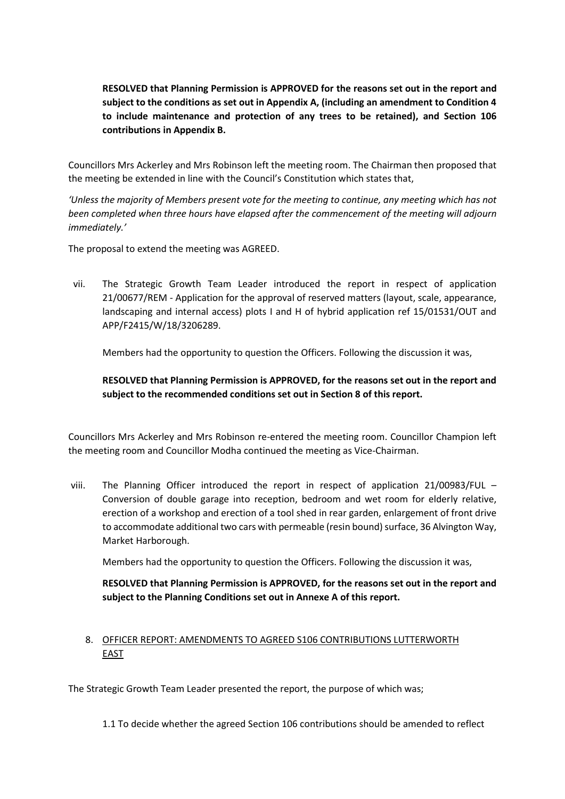**RESOLVED that Planning Permission is APPROVED for the reasons set out in the report and subject to the conditions as set out in Appendix A, (including an amendment to Condition 4 to include maintenance and protection of any trees to be retained), and Section 106 contributions in Appendix B.**

Councillors Mrs Ackerley and Mrs Robinson left the meeting room. The Chairman then proposed that the meeting be extended in line with the Council's Constitution which states that,

*'Unless the majority of Members present vote for the meeting to continue, any meeting which has not been completed when three hours have elapsed after the commencement of the meeting will adjourn immediately.'*

The proposal to extend the meeting was AGREED.

vii. The Strategic Growth Team Leader introduced the report in respect of application 21/00677/REM - Application for the approval of reserved matters (layout, scale, appearance, landscaping and internal access) plots I and H of hybrid application ref 15/01531/OUT and APP/F2415/W/18/3206289.

Members had the opportunity to question the Officers. Following the discussion it was,

**RESOLVED that Planning Permission is APPROVED, for the reasons set out in the report and subject to the recommended conditions set out in Section 8 of this report.**

Councillors Mrs Ackerley and Mrs Robinson re-entered the meeting room. Councillor Champion left the meeting room and Councillor Modha continued the meeting as Vice-Chairman.

viii. The Planning Officer introduced the report in respect of application 21/00983/FUL – Conversion of double garage into reception, bedroom and wet room for elderly relative, erection of a workshop and erection of a tool shed in rear garden, enlargement of front drive to accommodate additional two cars with permeable (resin bound) surface, 36 Alvington Way, Market Harborough.

Members had the opportunity to question the Officers. Following the discussion it was,

**RESOLVED that Planning Permission is APPROVED, for the reasons set out in the report and subject to the Planning Conditions set out in Annexe A of this report.**

# 8. OFFICER REPORT: AMENDMENTS TO AGREED S106 CONTRIBUTIONS LUTTERWORTH EAST

The Strategic Growth Team Leader presented the report, the purpose of which was;

1.1 To decide whether the agreed Section 106 contributions should be amended to reflect